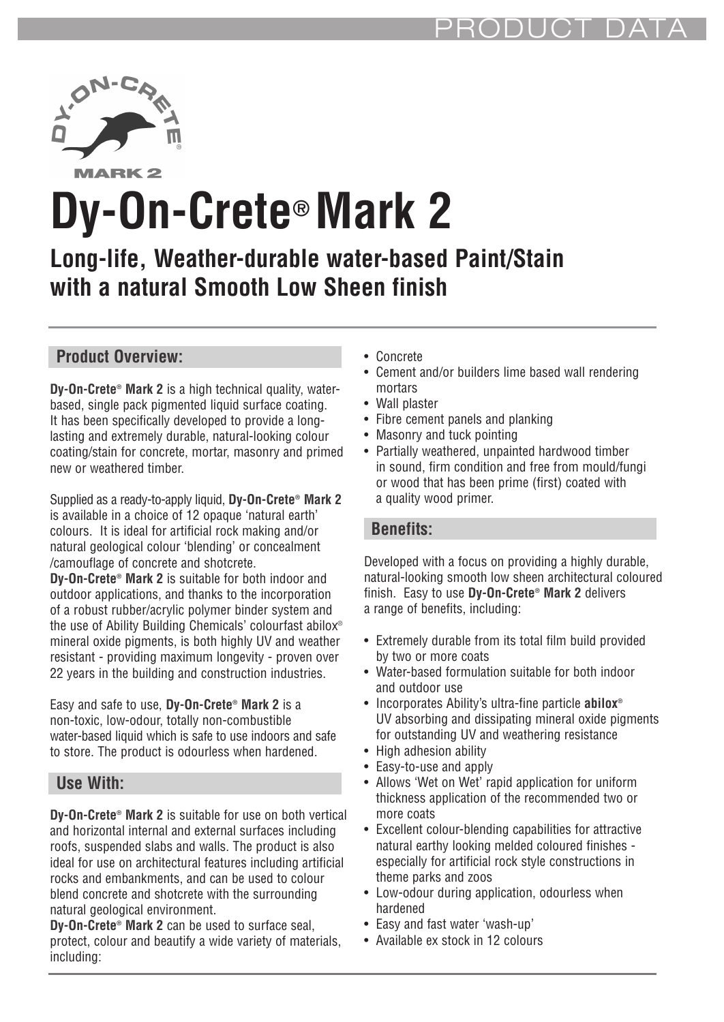

**MARK2** 

# **Dy-On-Crete® Mark 2**

# **Long-life, Weather-durable water-based Paint/Stain with a natural Smooth Low Sheen finish**

# **Product Overview:**

**Dy-On-Crete® Mark 2** is a high technical quality, waterbased, single pack pigmented liquid surface coating. It has been specifically developed to provide a longlasting and extremely durable, natural-looking colour coating/stain for concrete, mortar, masonry and primed new or weathered timber.

Supplied as a ready-to-apply liquid, **Dy-On-Crete® Mark 2** is available in a choice of 12 opaque 'natural earth' colours. It is ideal for artificial rock making and/or natural geological colour 'blending' or concealment /camouflage of concrete and shotcrete. **Dy-On-Crete® Mark 2** is suitable for both indoor and outdoor applications, and thanks to the incorporation of a robust rubber/acrylic polymer binder system and the use of Ability Building Chemicals' colourfast abilox® mineral oxide pigments, is both highly UV and weather resistant - providing maximum longevity - proven over 22 years in the building and construction industries.

Easy and safe to use, **Dy-On-Crete® Mark 2** is a non-toxic, low-odour, totally non-combustible water-based liquid which is safe to use indoors and safe to store. The product is odourless when hardened.

### **Use With:**

**Dy-On-Crete® Mark 2** is suitable for use on both vertical and horizontal internal and external surfaces including roofs, suspended slabs and walls. The product is also ideal for use on architectural features including artificial rocks and embankments, and can be used to colour blend concrete and shotcrete with the surrounding natural geological environment.

**Dy-On-Crete® Mark 2** can be used to surface seal, protect, colour and beautify a wide variety of materials, including:

- Concrete
- Cement and/or builders lime based wall rendering mortars
- Wall plaster
- Fibre cement panels and planking
- Masonry and tuck pointing
- Partially weathered, unpainted hardwood timber in sound, firm condition and free from mould/fungi or wood that has been prime (first) coated with a quality wood primer.

#### **Benefits:**

Developed with a focus on providing a highly durable, natural-looking smooth low sheen architectural coloured finish. Easy to use **Dy-On-Crete® Mark 2** delivers a range of benefits, including:

- Extremely durable from its total film build provided by two or more coats
- Water-based formulation suitable for both indoor and outdoor use
- Incorporates Ability's ultra-fine particle **abilox®** UV absorbing and dissipating mineral oxide pigments for outstanding UV and weathering resistance
- High adhesion ability
- Easy-to-use and apply
- Allows 'Wet on Wet' rapid application for uniform thickness application of the recommended two or more coats
- Excellent colour-blending capabilities for attractive natural earthy looking melded coloured finishes especially for artificial rock style constructions in theme parks and zoos
- Low-odour during application, odourless when hardened
- Easy and fast water 'wash-up'
- Available ex stock in 12 colours